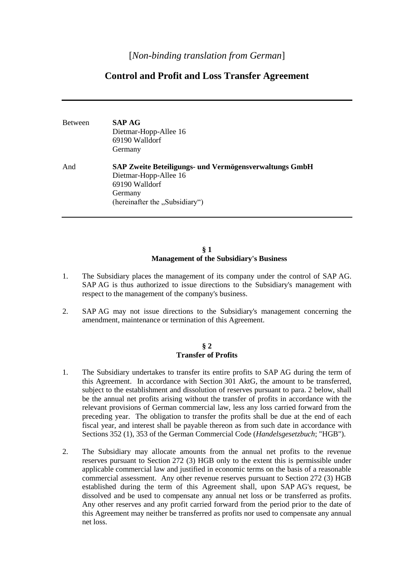# **Control and Profit and Loss Transfer Agreement**

| <b>Between</b> | <b>SAP AG</b><br>Dietmar-Hopp-Allee 16<br>69190 Walldorf<br>Germany                                                                            |
|----------------|------------------------------------------------------------------------------------------------------------------------------------------------|
| And            | SAP Zweite Beteiligungs- und Vermögensverwaltungs GmbH<br>Dietmar-Hopp-Allee 16<br>69190 Walldorf<br>Germany<br>(hereinafter the "Subsidiary") |

## **§ 1 Management of the Subsidiary's Business**

- 1. The Subsidiary places the management of its company under the control of SAP AG. SAP AG is thus authorized to issue directions to the Subsidiary's management with respect to the management of the company's business.
- 2. SAP AG may not issue directions to the Subsidiary's management concerning the amendment, maintenance or termination of this Agreement.

### **§ 2 Transfer of Profits**

- 1. The Subsidiary undertakes to transfer its entire profits to SAP AG during the term of this Agreement. In accordance with Section 301 AktG, the amount to be transferred, subject to the establishment and dissolution of reserves pursuant to para. 2 below, shall be the annual net profits arising without the transfer of profits in accordance with the relevant provisions of German commercial law, less any loss carried forward from the preceding year. The obligation to transfer the profits shall be due at the end of each fiscal year, and interest shall be payable thereon as from such date in accordance with Sections 352 (1), 353 of the German Commercial Code (*Handelsgesetzbuch*; "HGB").
- 2. The Subsidiary may allocate amounts from the annual net profits to the revenue reserves pursuant to Section 272 (3) HGB only to the extent this is permissible under applicable commercial law and justified in economic terms on the basis of a reasonable commercial assessment. Any other revenue reserves pursuant to Section 272 (3) HGB established during the term of this Agreement shall, upon SAP AG's request, be dissolved and be used to compensate any annual net loss or be transferred as profits. Any other reserves and any profit carried forward from the period prior to the date of this Agreement may neither be transferred as profits nor used to compensate any annual net loss.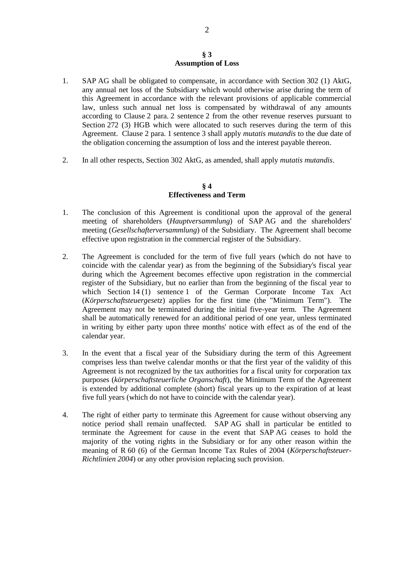#### **§ 3 Assumption of Loss**

- 1. SAP AG shall be obligated to compensate, in accordance with Section 302 (1) AktG, any annual net loss of the Subsidiary which would otherwise arise during the term of this Agreement in accordance with the relevant provisions of applicable commercial law, unless such annual net loss is compensated by withdrawal of any amounts according to Clause 2 para. 2 sentence 2 from the other revenue reserves pursuant to Section 272 (3) HGB which were allocated to such reserves during the term of this Agreement. Clause 2 para. 1 sentence 3 shall apply *mutatis mutandis* to the due date of the obligation concerning the assumption of loss and the interest payable thereon.
- 2. In all other respects, Section 302 AktG, as amended, shall apply *mutatis mutandis*.

## **§ 4 Effectiveness and Term**

- 1. The conclusion of this Agreement is conditional upon the approval of the general meeting of shareholders (*Hauptversammlung*) of SAP AG and the shareholders' meeting (*Gesellschafterversammlung*) of the Subsidiary. The Agreement shall become effective upon registration in the commercial register of the Subsidiary.
- 2. The Agreement is concluded for the term of five full years (which do not have to coincide with the calendar year) as from the beginning of the Subsidiary's fiscal year during which the Agreement becomes effective upon registration in the commercial register of the Subsidiary, but no earlier than from the beginning of the fiscal year to which Section 14 (1) sentence 1 of the German Corporate Income Tax Act (*Körperschaftsteuergesetz*) applies for the first time (the "Minimum Term"). The Agreement may not be terminated during the initial five-year term. The Agreement shall be automatically renewed for an additional period of one year, unless terminated in writing by either party upon three months' notice with effect as of the end of the calendar year.
- 3. In the event that a fiscal year of the Subsidiary during the term of this Agreement comprises less than twelve calendar months or that the first year of the validity of this Agreement is not recognized by the tax authorities for a fiscal unity for corporation tax purposes (*körperschaftsteuerliche Organschaft*), the Minimum Term of the Agreement is extended by additional complete (short) fiscal years up to the expiration of at least five full years (which do not have to coincide with the calendar year).
- 4. The right of either party to terminate this Agreement for cause without observing any notice period shall remain unaffected. SAP AG shall in particular be entitled to terminate the Agreement for cause in the event that SAP AG ceases to hold the majority of the voting rights in the Subsidiary or for any other reason within the meaning of R 60 (6) of the German Income Tax Rules of 2004 (*Körperschaftsteuer-Richtlinien 2004*) or any other provision replacing such provision.